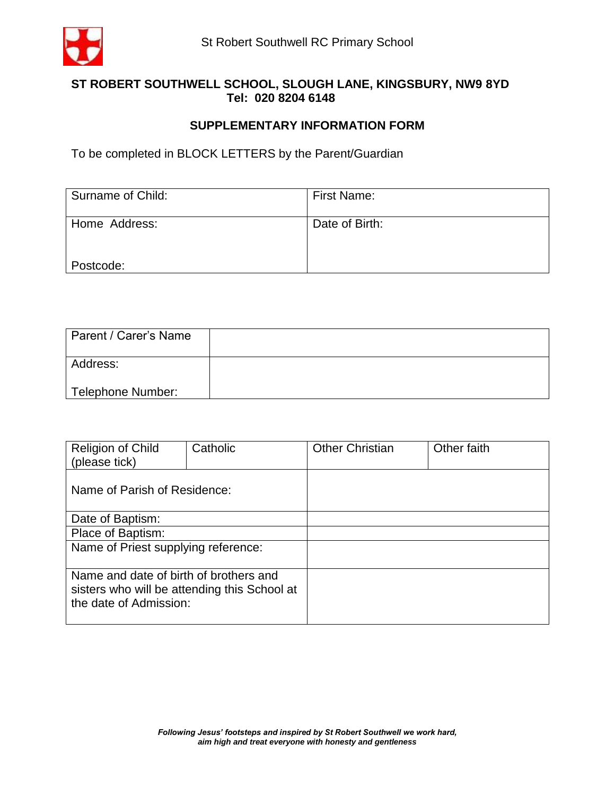

## **ST ROBERT SOUTHWELL SCHOOL, SLOUGH LANE, KINGSBURY, NW9 8YD Tel: 020 8204 6148**

## **SUPPLEMENTARY INFORMATION FORM**

To be completed in BLOCK LETTERS by the Parent/Guardian

| Surname of Child: | First Name:    |
|-------------------|----------------|
| Home Address:     | Date of Birth: |
| Postcode:         |                |

| Parent / Carer's Name |  |
|-----------------------|--|
| Address:              |  |
| Telephone Number:     |  |

| <b>Religion of Child</b><br>(please tick)                                                                        | Catholic | <b>Other Christian</b> | Other faith |
|------------------------------------------------------------------------------------------------------------------|----------|------------------------|-------------|
| Name of Parish of Residence:                                                                                     |          |                        |             |
| Date of Baptism:                                                                                                 |          |                        |             |
| Place of Baptism:                                                                                                |          |                        |             |
| Name of Priest supplying reference:                                                                              |          |                        |             |
| Name and date of birth of brothers and<br>sisters who will be attending this School at<br>the date of Admission: |          |                        |             |